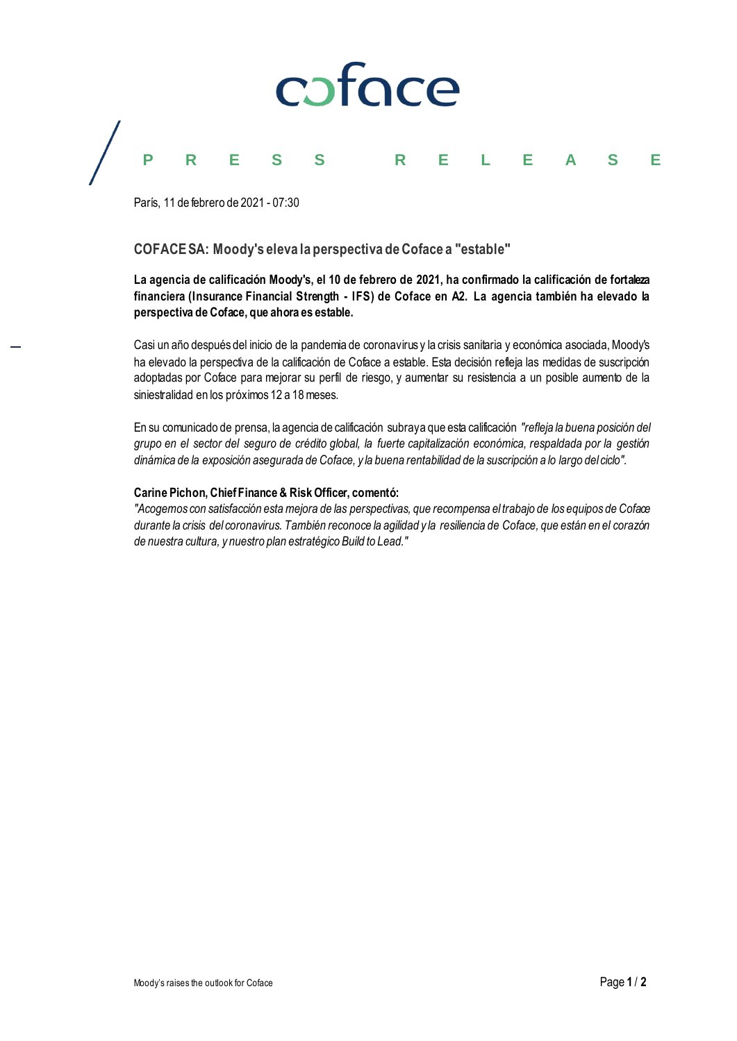# coface **P R E S S R E L E A S E**

París, 11 de febrero de 2021 - 07:30

### **COFACE SA: Moody's eleva la perspectiva de Coface a "estable"**

**La agencia de calificación Moody's, el 10 de febrero de 2021, ha confirmado la calificación de fortaleza financiera (Insurance Financial Strength - IFS) de Coface en A2. La agencia también ha elevado la perspectiva de Coface, que ahora es estable.**

Casi un año después del inicio de la pandemia de coronavirus y la crisis sanitaria y económica asociada, Moody's ha elevado la perspectiva de la calificación de Coface a estable. Esta decisión refleja las medidas de suscripción adoptadas por Coface para mejorar su perfil de riesgo, y aumentar su resistencia a un posible aumento de la siniestralidad en los próximos 12 a 18 meses.

En su comunicado de prensa, la agencia de calificación subraya que esta calificación *"refleja la buena posición del grupo en el sector del seguro de crédito global, la fuerte capitalización económica, respaldada por la gestión dinámica de la exposición asegurada de Coface, y la buena rentabilidad de la suscripción a lo largo del ciclo".*

#### **Carine Pichon, Chief Finance & Risk Officer, comentó:**

*"Acogemos con satisfacción esta mejora de las perspectivas, que recompensa el trabajo de los equipos de Coface durante la crisis del coronavirus. También reconoce la agilidad y la resiliencia de Coface, que están en el corazón de nuestra cultura, y nuestro plan estratégico Build to Lead."*